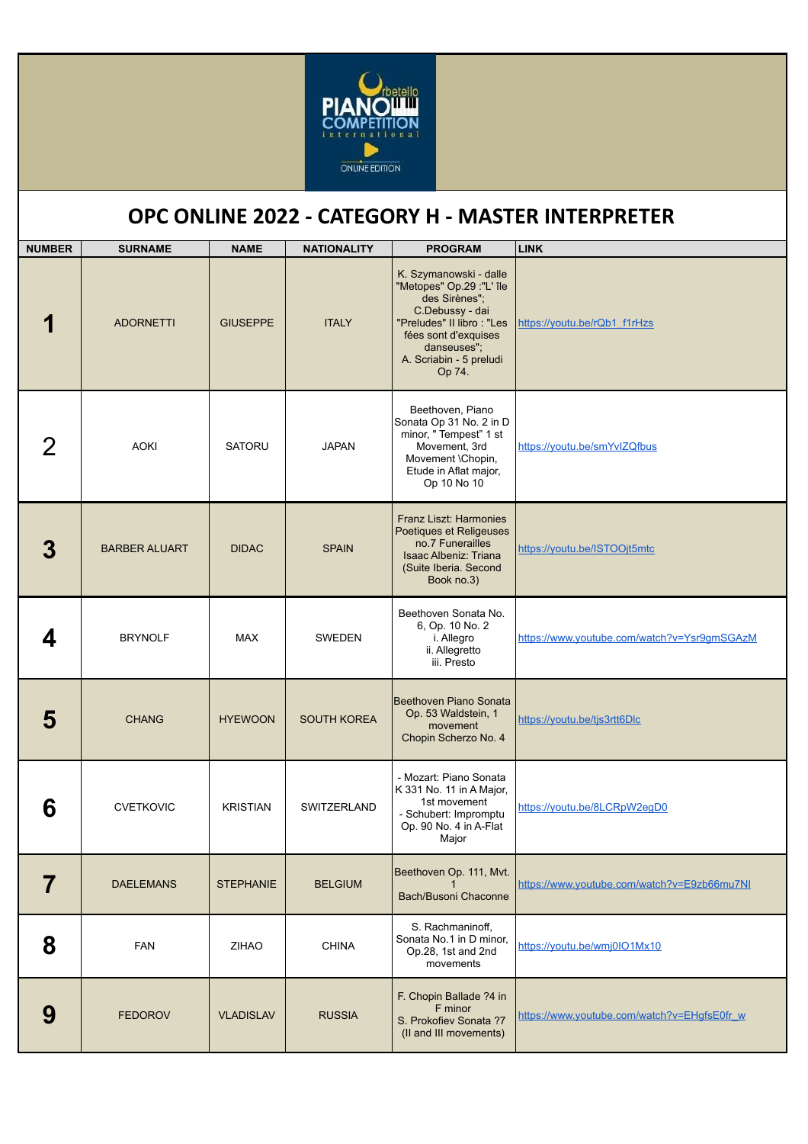

## **OPC ONLINE 2022 - CATEGORY H - MASTER INTERPRETER**

| <b>NUMBER</b> | <b>SURNAME</b>       | <b>NAME</b>      | <b>NATIONALITY</b> | <b>PROGRAM</b>                                                                                                                                                                                  | <b>LINK</b>                                 |
|---------------|----------------------|------------------|--------------------|-------------------------------------------------------------------------------------------------------------------------------------------------------------------------------------------------|---------------------------------------------|
|               | <b>ADORNETTI</b>     | <b>GIUSEPPE</b>  | <b>ITALY</b>       | K. Szymanowski - dalle<br>"Metopes" Op.29 :"L' île<br>des Sirènes";<br>C.Debussy - dai<br>"Preludes" II libro: "Les<br>fées sont d'exquises<br>danseuses";<br>A. Scriabin - 5 preludi<br>Op 74. | https://youtu.be/rQb1_f1rHzs                |
|               | <b>AOKI</b>          | <b>SATORU</b>    | <b>JAPAN</b>       | Beethoven, Piano<br>Sonata Op 31 No. 2 in D<br>minor, "Tempest" 1 st<br>Movement, 3rd<br>Movement \Chopin,<br>Etude in Aflat major,<br>Op 10 No 10                                              | https://youtu.be/smYvIZQfbus                |
|               | <b>BARBER ALUART</b> | <b>DIDAC</b>     | <b>SPAIN</b>       | Franz Liszt: Harmonies<br>Poetiques et Religeuses<br>no.7 Funerailles<br><b>Isaac Albeniz: Triana</b><br>(Suite Iberia. Second<br>Book no.3)                                                    | https://youtu.be/ISTOOjt5mtc                |
| 4             | <b>BRYNOLF</b>       | <b>MAX</b>       | <b>SWEDEN</b>      | Beethoven Sonata No.<br>6, Op. 10 No. 2<br>i. Allegro<br>ii. Allegretto<br>iii. Presto                                                                                                          | https://www.youtube.com/watch?v=Ysr9qmSGAzM |
| 5             | <b>CHANG</b>         | <b>HYEWOON</b>   | <b>SOUTH KOREA</b> | Beethoven Piano Sonata<br>Op. 53 Waldstein, 1<br>movement<br>Chopin Scherzo No. 4                                                                                                               | https://youtu.be/tjs3rtt6Dlc                |
| 6             | <b>CVETKOVIC</b>     | <b>KRISTIAN</b>  | <b>SWITZERLAND</b> | - Mozart: Piano Sonata<br>K 331 No. 11 in A Major,<br>1st movement<br>- Schubert: Impromptu<br>Op. 90 No. 4 in A-Flat<br>Major                                                                  | https://youtu.be/8LCRpW2eqD0                |
|               | <b>DAELEMANS</b>     | <b>STEPHANIE</b> | <b>BELGIUM</b>     | Beethoven Op. 111, Mvt.<br>Bach/Busoni Chaconne                                                                                                                                                 | https://www.youtube.com/watch?v=E9zb66mu7NI |
| 8             | <b>FAN</b>           | <b>ZIHAO</b>     | <b>CHINA</b>       | S. Rachmaninoff,<br>Sonata No.1 in D minor,<br>Op.28, 1st and 2nd<br>movements                                                                                                                  | https://youtu.be/wmj0IO1Mx10                |
| 9             | <b>FEDOROV</b>       | <b>VLADISLAV</b> | <b>RUSSIA</b>      | F. Chopin Ballade ?4 in<br>F minor<br>S. Prokofiev Sonata ?7<br>(II and III movements)                                                                                                          | https://www.youtube.com/watch?v=EHgfsE0fr_w |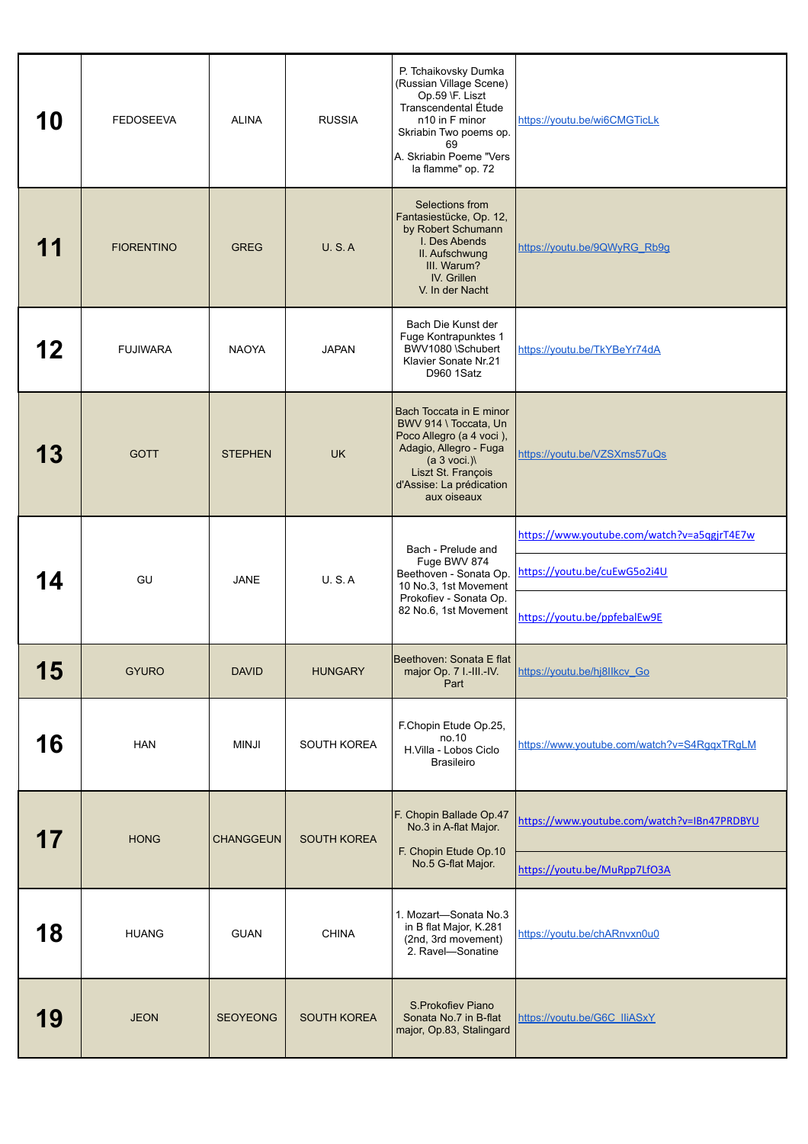| 10 | <b>FEDOSEEVA</b>  | <b>ALINA</b>     | <b>RUSSIA</b>      | P. Tchaikovsky Dumka<br>(Russian Village Scene)<br>Op.59 \F. Liszt<br>Transcendental Étude<br>n10 in F minor<br>Skriabin Two poems op.<br>69<br>A. Skriabin Poeme "Vers<br>la flamme" op. 72 | https://youtu.be/wi6CMGTicLk                |
|----|-------------------|------------------|--------------------|----------------------------------------------------------------------------------------------------------------------------------------------------------------------------------------------|---------------------------------------------|
| 11 | <b>FIORENTINO</b> | <b>GREG</b>      | <b>U.S.A</b>       | Selections from<br>Fantasiestücke, Op. 12,<br>by Robert Schumann<br>I. Des Abends<br>II. Aufschwung<br>III. Warum?<br>IV. Grillen<br>V. In der Nacht                                         | https://youtu.be/9QWyRG_Rb9g                |
| 12 | <b>FUJIWARA</b>   | <b>NAOYA</b>     | <b>JAPAN</b>       | Bach Die Kunst der<br>Fuge Kontrapunktes 1<br>BWV1080 \Schubert<br>Klavier Sonate Nr.21<br>D960 1Satz                                                                                        | https://youtu.be/TkYBeYr74dA                |
| 13 | <b>GOTT</b>       | <b>STEPHEN</b>   | <b>UK</b>          | Bach Toccata in E minor<br>BWV 914 \ Toccata, Un<br>Poco Allegro (a 4 voci),<br>Adagio, Allegro - Fuga<br>(a 3 voci.)<br>Liszt St. François<br>d'Assise: La prédication<br>aux oiseaux       | https://youtu.be/VZSXms57uQs                |
|    | GU                | <b>JANE</b>      | U.S.A              | Bach - Prelude and<br>Fuge BWV 874<br>Beethoven - Sonata Op.<br>10 No.3, 1st Movement<br>Prokofiev - Sonata Op.                                                                              | https://www.youtube.com/watch?v=a5qgjrT4E7w |
|    |                   |                  |                    |                                                                                                                                                                                              | https://youtu.be/cuEwG5o2i4U                |
|    |                   |                  |                    | 82 No.6, 1st Movement                                                                                                                                                                        | https://youtu.be/ppfebalEw9E                |
| 15 | <b>GYURO</b>      | <b>DAVID</b>     | <b>HUNGARY</b>     | Beethoven: Sonata E flat<br>major Op. 7 I.-III.-IV.<br>Part                                                                                                                                  | https://youtu.be/hj8llkcv_Go                |
| 16 | <b>HAN</b>        | <b>MINJI</b>     | SOUTH KOREA        | F.Chopin Etude Op.25,<br>no.10<br>H.Villa - Lobos Ciclo<br><b>Brasileiro</b>                                                                                                                 | https://www.youtube.com/watch?v=S4RqqxTRqLM |
|    |                   |                  | <b>SOUTH KOREA</b> | F. Chopin Ballade Op.47<br>No.3 in A-flat Major.                                                                                                                                             | https://www.youtube.com/watch?v=IBn47PRDBYU |
| 17 | <b>HONG</b>       | <b>CHANGGEUN</b> |                    | F. Chopin Etude Op.10<br>No.5 G-flat Major.                                                                                                                                                  | https://youtu.be/MuRpp7LfO3A                |
| 18 | <b>HUANG</b>      | <b>GUAN</b>      | <b>CHINA</b>       | 1. Mozart-Sonata No.3<br>in B flat Major, K.281<br>(2nd, 3rd movement)<br>2. Ravel-Sonatine                                                                                                  | https://youtu.be/chARnvxn0u0                |
| 19 | <b>JEON</b>       | <b>SEOYEONG</b>  | <b>SOUTH KOREA</b> | S.Prokofiev Piano<br>Sonata No.7 in B-flat<br>major, Op.83, Stalingard                                                                                                                       | https://youtu.be/G6C_lliASxY                |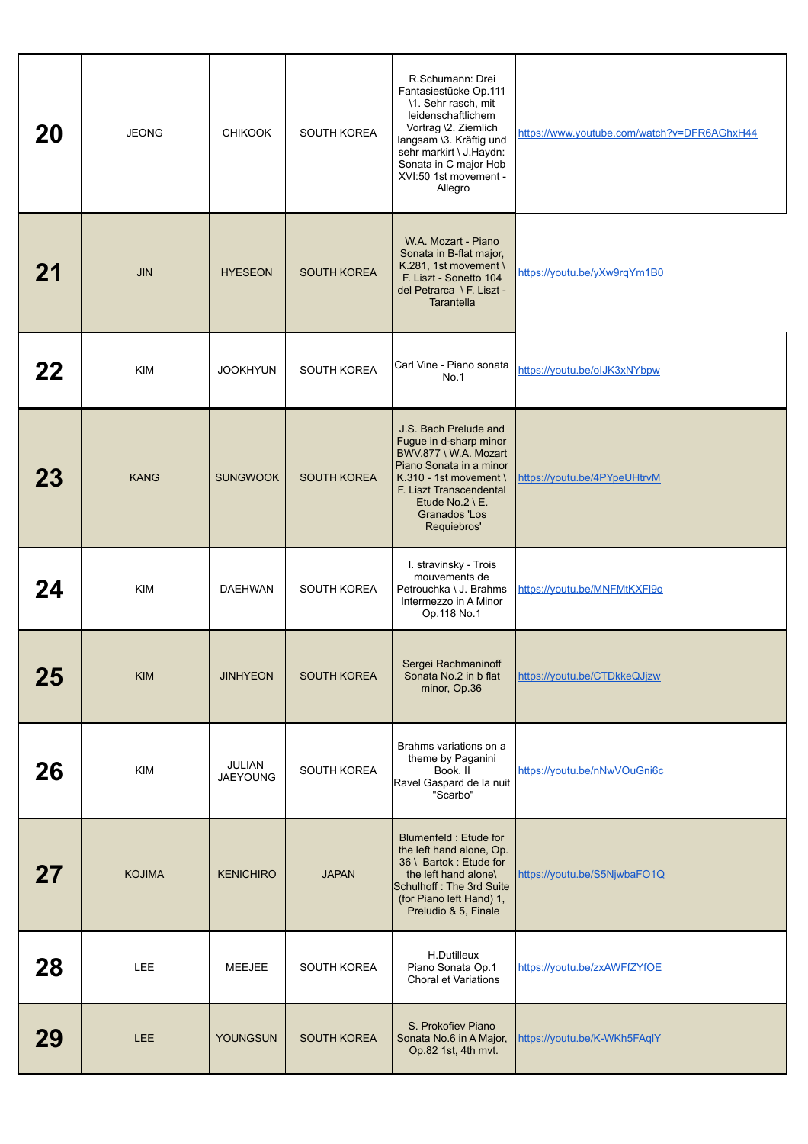| 20 | <b>JEONG</b>  | <b>CHIKOOK</b>                   | SOUTH KOREA        | R.Schumann: Drei<br>Fantasiestücke Op.111<br>\1. Sehr rasch, mit<br>leidenschaftlichem<br>Vortrag \2. Ziemlich<br>langsam \3. Kräftig und<br>sehr markirt \ J.Haydn:<br>Sonata in C major Hob<br>XVI:50 1st movement -<br>Allegro | https://www.youtube.com/watch?v=DFR6AGhxH44 |
|----|---------------|----------------------------------|--------------------|-----------------------------------------------------------------------------------------------------------------------------------------------------------------------------------------------------------------------------------|---------------------------------------------|
| 21 | <b>JIN</b>    | <b>HYESEON</b>                   | <b>SOUTH KOREA</b> | W.A. Mozart - Piano<br>Sonata in B-flat major,<br>K.281, 1st movement \<br>F. Liszt - Sonetto 104<br>del Petrarca \ F. Liszt -<br><b>Tarantella</b>                                                                               | https://youtu.be/yXw9rqYm1B0                |
| 22 | <b>KIM</b>    | <b>JOOKHYUN</b>                  | SOUTH KOREA        | Carl Vine - Piano sonata<br>No.1                                                                                                                                                                                                  | https://youtu.be/olJK3xNYbpw                |
| 23 | <b>KANG</b>   | <b>SUNGWOOK</b>                  | <b>SOUTH KOREA</b> | J.S. Bach Prelude and<br>Fugue in d-sharp minor<br>BWV.877 \ W.A. Mozart<br>Piano Sonata in a minor<br>K.310 - 1st movement \<br>F. Liszt Transcendental<br>Etude No.2 \ E.<br>Granados 'Los<br>Requiebros'                       | https://youtu.be/4PYpeUHtrvM                |
| 24 | <b>KIM</b>    | <b>DAEHWAN</b>                   | <b>SOUTH KOREA</b> | I. stravinsky - Trois<br>mouvements de<br>Petrouchka \ J. Brahms<br>Intermezzo in A Minor<br>Op.118 No.1                                                                                                                          | https://youtu.be/MNFMtKXFI9o                |
| 25 | <b>KIM</b>    | <b>JINHYEON</b>                  | <b>SOUTH KOREA</b> | Sergei Rachmaninoff<br>Sonata No.2 in b flat<br>minor, Op.36                                                                                                                                                                      | https://youtu.be/CTDkkeQJjzw                |
| 26 | <b>KIM</b>    | <b>JULIAN</b><br><b>JAEYOUNG</b> | SOUTH KOREA        | Brahms variations on a<br>theme by Paganini<br>Book. II<br>Ravel Gaspard de la nuit<br>"Scarbo"                                                                                                                                   | https://youtu.be/nNwVOuGni6c                |
| 27 | <b>KOJIMA</b> | <b>KENICHIRO</b>                 | <b>JAPAN</b>       | Blumenfeld: Etude for<br>the left hand alone, Op.<br>36 \ Bartok: Etude for<br>the left hand alone\<br>Schulhoff: The 3rd Suite<br>(for Piano left Hand) 1,<br>Preludio & 5, Finale                                               | https://youtu.be/S5NjwbaFO1Q                |
| 28 | LEE           | MEEJEE                           | SOUTH KOREA        | H.Dutilleux<br>Piano Sonata Op.1<br>Choral et Variations                                                                                                                                                                          | https://youtu.be/zxAWFfZYfOE                |
| 29 | <b>LEE</b>    | YOUNGSUN                         | SOUTH KOREA        | S. Prokofiev Piano<br>Sonata No.6 in A Major,<br>Op.82 1st, 4th mvt.                                                                                                                                                              | https://youtu.be/K-WKh5FAqlY                |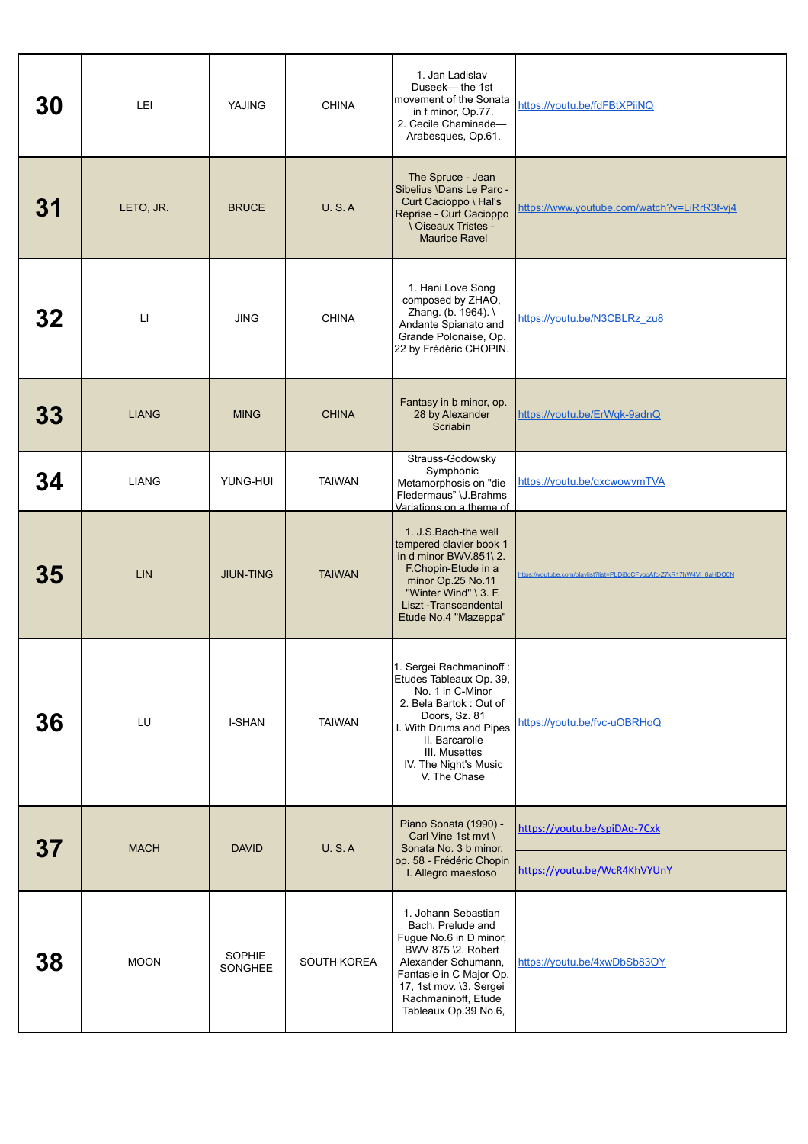| 30 | LEI                    | YAJING            | <b>CHINA</b>  | 1. Jan Ladislav<br>Duseek-the 1st<br>movement of the Sonata<br>in f minor, Op.77.<br>2. Cecile Chaminade-<br>Arabesques, Op.61.                                                                                           | https://youtu.be/fdFBtXPiiNQ                                         |
|----|------------------------|-------------------|---------------|---------------------------------------------------------------------------------------------------------------------------------------------------------------------------------------------------------------------------|----------------------------------------------------------------------|
| 31 | LETO, JR.              | <b>BRUCE</b>      | U.S.A         | The Spruce - Jean<br>Sibelius \Dans Le Parc -<br>Curt Cacioppo \ Hal's<br>Reprise - Curt Cacioppo<br><b>\ Oiseaux Tristes -</b><br><b>Maurice Ravel</b>                                                                   | https://www.youtube.com/watch?v=LiRrR3f-vj4                          |
| 32 | $\mathsf{L}\mathsf{I}$ | <b>JING</b>       | <b>CHINA</b>  | 1. Hani Love Song<br>composed by ZHAO,<br>Zhang. (b. 1964). \<br>Andante Spianato and<br>Grande Polonaise, Op.<br>22 by Frédéric CHOPIN.                                                                                  | https://youtu.be/N3CBLRz_zu8                                         |
| 33 | <b>LIANG</b>           | <b>MING</b>       | <b>CHINA</b>  | Fantasy in b minor, op.<br>28 by Alexander<br>Scriabin                                                                                                                                                                    | https://youtu.be/ErWqk-9adnQ                                         |
| 34 | <b>LIANG</b>           | YUNG-HUI          | <b>TAIWAN</b> | Strauss-Godowsky<br>Symphonic<br>Metamorphosis on "die<br>Fledermaus" \J.Brahms<br>Variations on a theme of                                                                                                               | https://youtu.be/gxcwowvmTVA                                         |
| 35 | <b>LIN</b>             | <b>JIUN-TING</b>  | <b>TAIWAN</b> | 1. J.S. Bach-the well<br>tempered clavier book 1<br>in d minor BWV 851\2.<br>F.Chopin-Etude in a<br>minor Op.25 No.11<br>"Winter Wind" \ 3. F.<br>Liszt-Transcendental<br>Etude No.4 "Mazeppa"                            | https://youtube.com/playlist?list=PLDj8qCFvgoAfc-Z7kR17hW4Vi_8aHDO0N |
| 36 | LU                     | <b>I-SHAN</b>     | <b>TAIWAN</b> | 1. Sergei Rachmaninoff :<br>Etudes Tableaux Op. 39,<br>No. 1 in C-Minor<br>2. Bela Bartok: Out of<br>Doors, Sz. 81<br>I. With Drums and Pipes<br>II. Barcarolle<br>III. Musettes<br>IV. The Night's Music<br>V. The Chase | https://youtu.be/fvc-uOBRHoQ                                         |
| 37 | <b>MACH</b>            | <b>DAVID</b>      | <b>U.S.A</b>  | Piano Sonata (1990) -<br>Carl Vine 1st myt \<br>Sonata No. 3 b minor,<br>op. 58 - Frédéric Chopin                                                                                                                         | https://youtu.be/spiDAq-7Cxk                                         |
|    |                        |                   |               | I. Allegro maestoso                                                                                                                                                                                                       | https://youtu.be/WcR4KhVYUnY                                         |
| 38 | <b>MOON</b>            | SOPHIE<br>SONGHEE | SOUTH KOREA   | 1. Johann Sebastian<br>Bach, Prelude and<br>Fugue No.6 in D minor,<br>BWV 875 \2. Robert<br>Alexander Schumann,<br>Fantasie in C Major Op.<br>17, 1st mov. \3. Sergei<br>Rachmaninoff, Etude<br>Tableaux Op.39 No.6,      | https://youtu.be/4xwDbSb83OY                                         |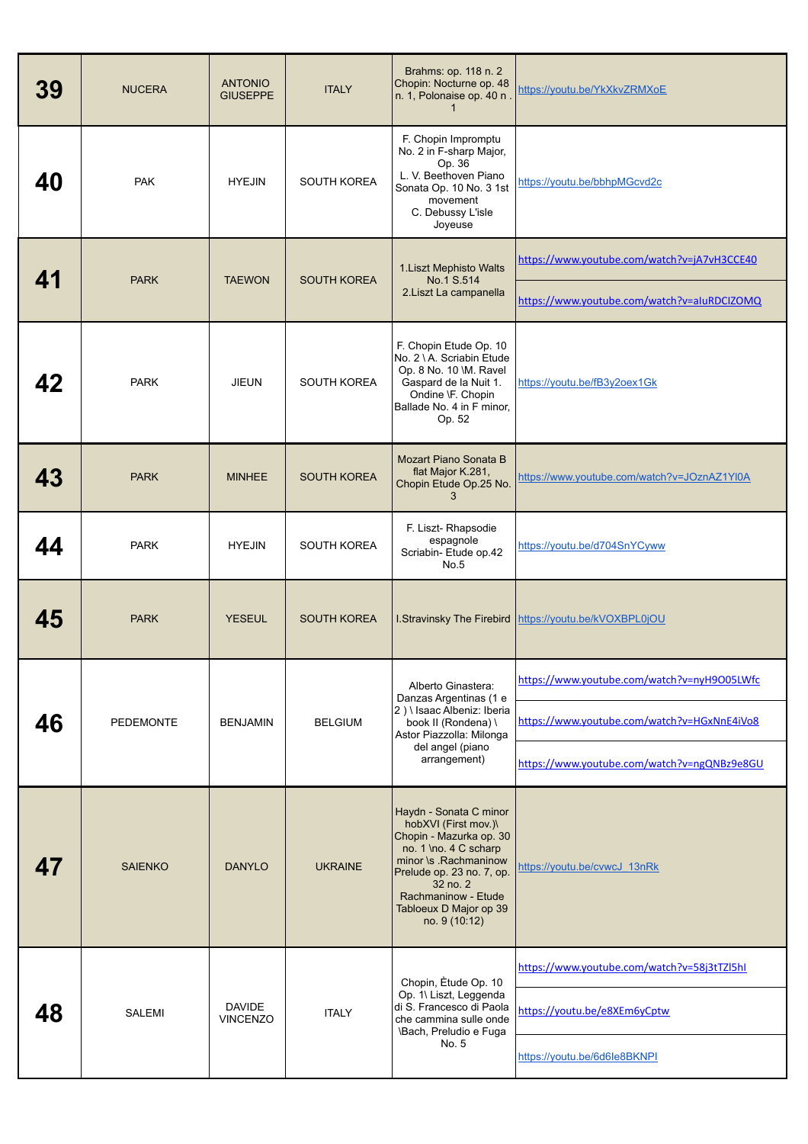| 39 | <b>NUCERA</b>    | <b>ANTONIO</b><br><b>GIUSEPPE</b> | <b>ITALY</b>       | Brahms: op. 118 n. 2<br>Chopin: Nocturne op. 48<br>n. 1, Polonaise op. 40 n<br>1                                                                                                                                                       | https://youtu.be/YkXkvZRMXoE                                                                                                              |
|----|------------------|-----------------------------------|--------------------|----------------------------------------------------------------------------------------------------------------------------------------------------------------------------------------------------------------------------------------|-------------------------------------------------------------------------------------------------------------------------------------------|
| 40 | <b>PAK</b>       | <b>HYEJIN</b>                     | SOUTH KOREA        | F. Chopin Impromptu<br>No. 2 in F-sharp Major,<br>Op. 36<br>L. V. Beethoven Piano<br>Sonata Op. 10 No. 3 1st<br>movement<br>C. Debussy L'isle<br>Joyeuse                                                                               | https://youtu.be/bbhpMGcvd2c                                                                                                              |
| 41 | <b>PARK</b>      | <b>TAEWON</b>                     | <b>SOUTH KOREA</b> | 1. Liszt Mephisto Walts<br>No.1 S.514<br>2. Liszt La campanella                                                                                                                                                                        | https://www.youtube.com/watch?v=jA7vH3CCE40<br>https://www.youtube.com/watch?v=aluRDCIZOMQ                                                |
| 42 | <b>PARK</b>      | <b>JIEUN</b>                      | <b>SOUTH KOREA</b> | F. Chopin Etude Op. 10<br>No. 2 \ A. Scriabin Etude<br>Op. 8 No. 10 \M. Ravel<br>Gaspard de la Nuit 1.<br>Ondine \F. Chopin<br>Ballade No. 4 in F minor,<br>Op. 52                                                                     | https://youtu.be/fB3y2oex1Gk                                                                                                              |
| 43 | <b>PARK</b>      | <b>MINHEE</b>                     | <b>SOUTH KOREA</b> | Mozart Piano Sonata B<br>flat Major K.281,<br>Chopin Etude Op.25 No.<br>3                                                                                                                                                              | https://www.youtube.com/watch?v=JOznAZ1YI0A                                                                                               |
| 44 | <b>PARK</b>      | <b>HYEJIN</b>                     | <b>SOUTH KOREA</b> | F. Liszt- Rhapsodie<br>espagnole<br>Scriabin- Etude op.42<br>No.5                                                                                                                                                                      | https://youtu.be/d704SnYCyww                                                                                                              |
| 45 | <b>PARK</b>      | <b>YESEUL</b>                     | <b>SOUTH KOREA</b> | I.Stravinsky The Firebird                                                                                                                                                                                                              | https://youtu.be/kVOXBPL0jOU                                                                                                              |
| 46 | <b>PEDEMONTE</b> | <b>BENJAMIN</b>                   | <b>BELGIUM</b>     | Alberto Ginastera:<br>Danzas Argentinas (1 e<br>2) \ Isaac Albeniz: Iberia<br>book II (Rondena) \<br>Astor Piazzolla: Milonga<br>del angel (piano<br>arrangement)                                                                      | https://www.youtube.com/watch?v=nyH9O05LWfc<br>https://www.youtube.com/watch?v=HGxNnE4iVo8<br>https://www.youtube.com/watch?v=ngQNBz9e8GU |
| 47 | <b>SAIENKO</b>   | <b>DANYLO</b>                     | <b>UKRAINE</b>     | Haydn - Sonata C minor<br>hobXVI (First mov.)\<br>Chopin - Mazurka op. 30<br>no. 1 \no. 4 C scharp<br>minor \s .Rachmaninow<br>Prelude op. 23 no. 7, op.<br>32 no. 2<br>Rachmaninow - Etude<br>Tabloeux D Major op 39<br>no. 9 (10:12) | https://youtu.be/cvwcJ_13nRk                                                                                                              |
|    | <b>SALEMI</b>    | <b>DAVIDE</b><br><b>VINCENZO</b>  | <b>ITALY</b>       | Chopin, Etude Op. 10<br>Op. 1\ Liszt, Leggenda<br>di S. Francesco di Paola<br>che cammina sulle onde<br>\Bach, Preludio e Fuga<br>No. 5                                                                                                | https://www.youtube.com/watch?v=58j3tTZl5hl<br>https://youtu.be/e8XEm6yCptw<br>https://youtu.be/6d6le8BKNPI                               |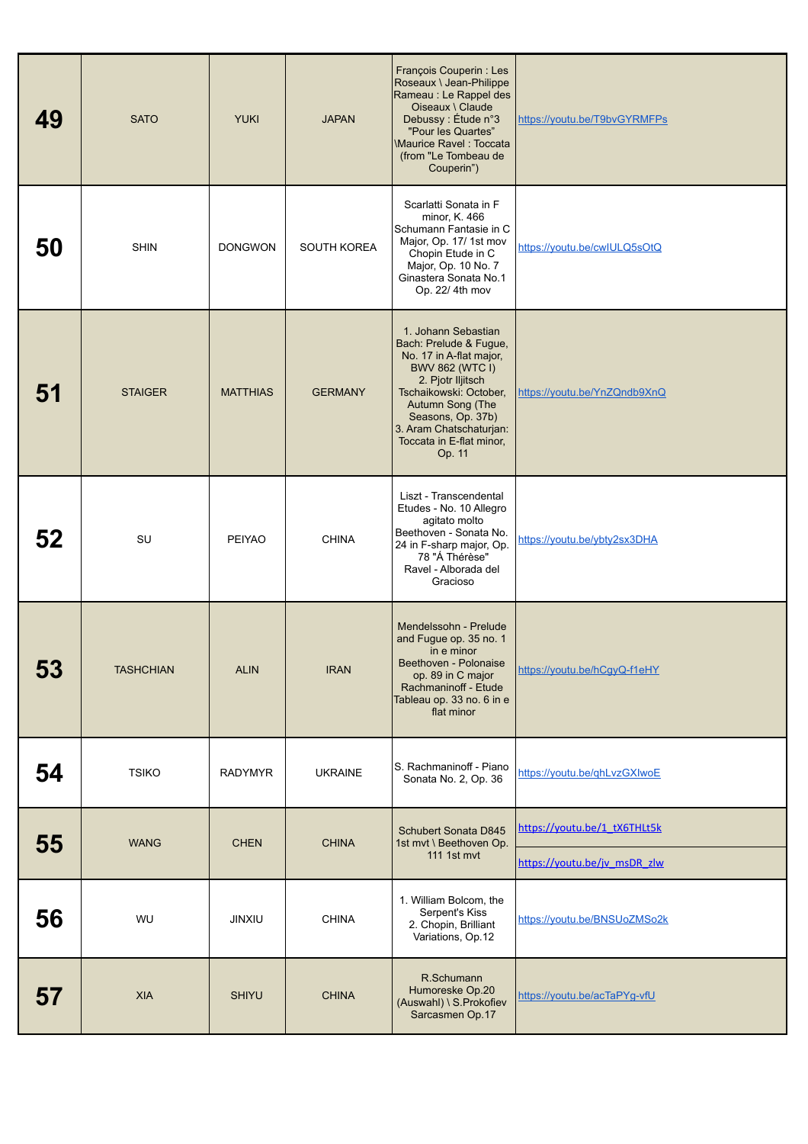| 49 | <b>SATO</b>      | <b>YUKI</b>     | <b>JAPAN</b>   | François Couperin : Les<br>Roseaux \ Jean-Philippe<br>Rameau : Le Rappel des<br>Oiseaux \ Claude<br>Debussy: Étude n°3<br>"Pour les Quartes"<br><b>Maurice Ravel: Toccata</b><br>(from "Le Tombeau de<br>Couperin")                                         | https://youtu.be/T9bvGYRMFPs |
|----|------------------|-----------------|----------------|-------------------------------------------------------------------------------------------------------------------------------------------------------------------------------------------------------------------------------------------------------------|------------------------------|
| 50 | <b>SHIN</b>      | <b>DONGWON</b>  | SOUTH KOREA    | Scarlatti Sonata in F<br>minor, K. 466<br>Schumann Fantasie in C<br>Major, Op. 17/ 1st mov<br>Chopin Etude in C<br>Major, Op. 10 No. 7<br>Ginastera Sonata No.1<br>Op. 22/ 4th mov                                                                          | https://youtu.be/cwIULQ5sOtQ |
| 51 | <b>STAIGER</b>   | <b>MATTHIAS</b> | <b>GERMANY</b> | 1. Johann Sebastian<br>Bach: Prelude & Fugue,<br>No. 17 in A-flat major,<br><b>BWV 862 (WTC I)</b><br>2. Pjotr Iljitsch<br>Tschaikowski: October,<br>Autumn Song (The<br>Seasons, Op. 37b)<br>3. Aram Chatschaturjan:<br>Toccata in E-flat minor,<br>Op. 11 | https://youtu.be/YnZQndb9XnQ |
| 52 | SU               | PEIYAO          | <b>CHINA</b>   | Liszt - Transcendental<br>Etudes - No. 10 Allegro<br>agitato molto<br>Beethoven - Sonata No.<br>24 in F-sharp major, Op.<br>78 "Á Thérèse"<br>Ravel - Alborada del<br>Gracioso                                                                              | https://youtu.be/ybty2sx3DHA |
| 53 | <b>TASHCHIAN</b> | <b>ALIN</b>     | <b>IRAN</b>    | Mendelssohn - Prelude<br>and Fugue op. 35 no. 1<br>in e minor<br>Beethoven - Polonaise<br>op. 89 in C major<br>Rachmaninoff - Etude<br>Tableau op. 33 no. 6 in e<br>flat minor                                                                              | https://youtu.be/hCgyQ-f1eHY |
| 54 | <b>TSIKO</b>     | <b>RADYMYR</b>  | <b>UKRAINE</b> | S. Rachmaninoff - Piano<br>Sonata No. 2, Op. 36                                                                                                                                                                                                             | https://youtu.be/qhLvzGXIwoE |
| 55 | <b>WANG</b>      | <b>CHEN</b>     | <b>CHINA</b>   | Schubert Sonata D845<br>1st mvt \ Beethoven Op.                                                                                                                                                                                                             | https://youtu.be/1_tX6THLt5k |
|    |                  |                 |                | 111 1st mvt                                                                                                                                                                                                                                                 | https://youtu.be/jv msDR zlw |
| 56 | WU               | <b>JINXIU</b>   | <b>CHINA</b>   | 1. William Bolcom, the<br>Serpent's Kiss<br>2. Chopin, Brilliant<br>Variations, Op.12                                                                                                                                                                       | https://youtu.be/BNSUoZMSo2k |
| 57 | <b>XIA</b>       | <b>SHIYU</b>    | <b>CHINA</b>   | R.Schumann<br>Humoreske Op.20<br>(Auswahl) \ S. Prokofiev<br>Sarcasmen Op.17                                                                                                                                                                                | https://youtu.be/acTaPYg-vfU |